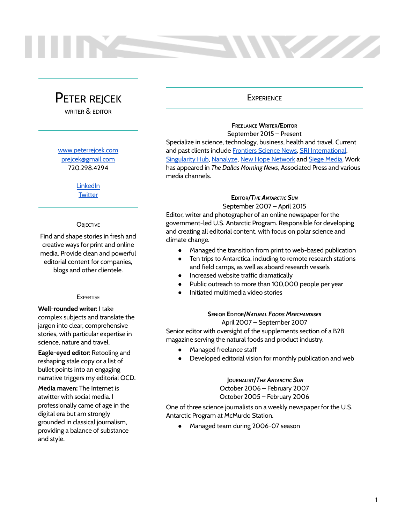# PETER REJCEK

WRITER & EDITOR

### [www.peterrejcek.com](http://www.peterrejcek.com)

[prejcek@gmail.com](mailto:prejcek@gmail.com) 720.298.4294

> [LinkedIn](https://www.linkedin.com/in/peter-rejcek-9450275/) **[Twitter](https://twitter.com/poliepete?lang=en)**

### **OBJECTIVE**

Find and shape stories in fresh and creative ways for print and online media. Provide clean and powerful editorial content for companies, blogs and other clientele.

### **EXPERTISE**

**Well-rounded writer:** I take complex subjects and translate the jargon into clear, comprehensive stories, with particular expertise in science, nature and travel.

**Eagle-eyed editor:** Retooling and reshaping stale copy or a list of bullet points into an engaging narrative triggers my editorial OCD.

**Media maven:** The Internet is atwitter with social media. I professionally came of age in the digital era but am strongly grounded in classical journalism, providing a balance of substance and style.

### **EXPERIENCE**

**Maritim** 

### **FREELANCE WRITER/EDITOR** September 2015 – Present

Specialize in science, technology, business, health and travel. Current and past clients include [Frontiers](https://blog.frontiersin.org/) Science News, SRI [International,](https://medium.com/dish) [Singularity](https://singularityhub.com/) Hub, [Nanalyze](https://www.nanalyze.com/), New Hope [Network](http://www.newhope.com/) and Siege [Media.](https://www.siegemedia.com/) Work has appeared in *The Dallas Morning News*, Associated Press and various media channels.

### **EDITOR/***THE ANTARCTIC SUN*

September 2007 – April 2015

Editor, writer and photographer of an online newspaper for the government-led U.S. Antarctic Program. Responsible for developing and creating all editorial content, with focus on polar science and climate change.

- Managed the transition from print to web-based publication
- Ten trips to Antarctica, including to remote research stations and field camps, as well as aboard research vessels
- Increased website traffic dramatically
- Public outreach to more than 100,000 people per year
- Initiated multimedia video stories

### **SENIOR EDITOR/***NATURAL FOODS MERCHANDISER* April 2007 – September 2007

Senior editor with oversight of the supplements section of a B2B magazine serving the natural foods and product industry.

- Managed freelance staff
- Developed editorial vision for monthly publication and web

### **JOURNALIST/***THE ANTARCTIC SUN* October 2006 – February 2007

October 2005 – February 2006

One of three science journalists on a weekly newspaper for the U.S. Antarctic Program at McMurdo Station.

● Managed team during 2006-07 season